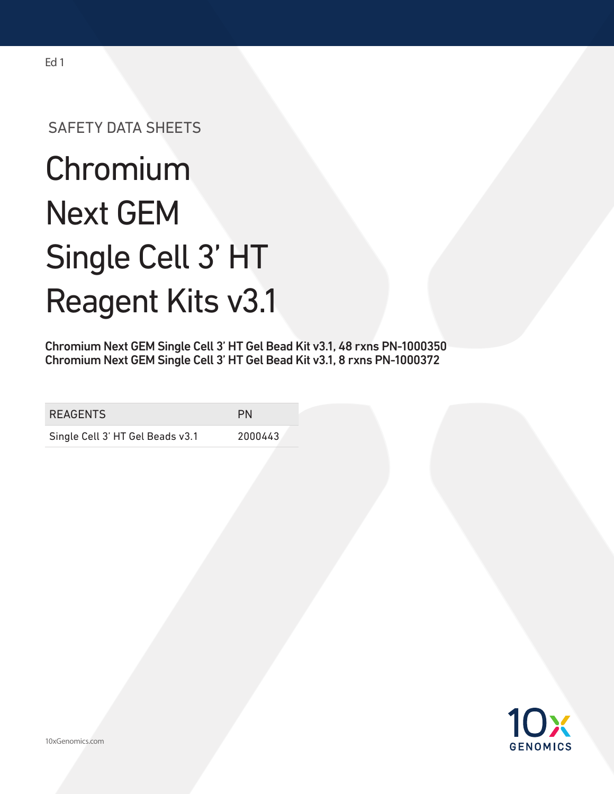## SAFETY DATA SHEETS

# **Chromium** Next GEM Single Cell 3' HT Reagent Kits v3.1

Chromium Next GEM Single Cell 3' HT Gel Bead Kit v3.1, 48 rxns PN-1000350 Chromium Next GEM Single Cell 3' HT Gel Bead Kit v3.1, 8 rxns PN-1000372

| <b>REAGENTS</b>                  | PN      |
|----------------------------------|---------|
| Single Cell 3' HT Gel Beads v3.1 | 2000443 |

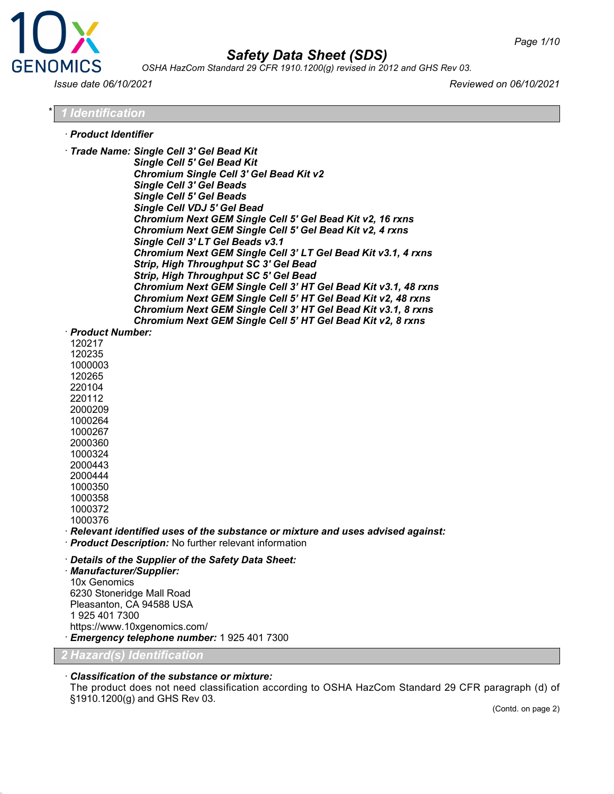

*OSHA HazCom Standard 29 CFR 1910.1200(g) revised in 2012 and GHS Rev 03.*

*Issue date 06/10/2021 Reviewed on 06/10/2021*

#### \* *1 Identification*

- · *Product Identifier*
- · *Trade Name: Single Cell 3' Gel Bead Kit Single Cell 5' Gel Bead Kit Chromium Single Cell 3' Gel Bead Kit v2 Single Cell 3' Gel Beads*

*Single Cell 5' Gel Beads Single Cell VDJ 5' Gel Bead Chromium Next GEM Single Cell 5' Gel Bead Kit v2, 16 rxns Chromium Next GEM Single Cell 5' Gel Bead Kit v2, 4 rxns Single Cell 3' LT Gel Beads v3.1 Chromium Next GEM Single Cell 3' LT Gel Bead Kit v3.1, 4 rxns Strip, High Throughput SC 3' Gel Bead Strip, High Throughput SC 5' Gel Bead Chromium Next GEM Single Cell 3' HT Gel Bead Kit v3.1, 48 rxns Chromium Next GEM Single Cell 5' HT Gel Bead Kit v2, 48 rxns Chromium Next GEM Single Cell 3' HT Gel Bead Kit v3.1, 8 rxns Chromium Next GEM Single Cell 5' HT Gel Bead Kit v2, 8 rxns*

#### · *Product Number:*

· *Relevant identified uses of the substance or mixture and uses advised against:*

· *Product Description:* No further relevant information

· *Details of the Supplier of the Safety Data Sheet:*

· *Manufacturer/Supplier:* 10x Genomics 6230 Stoneridge Mall Road Pleasanton, CA 94588 USA 1 925 401 7300 https://www.10xgenomics.com/ · *Emergency telephone number:* 1 925 401 7300

*2 Hazard(s) Identification*

#### · *Classification of the substance or mixture:*

The product does not need classification according to OSHA HazCom Standard 29 CFR paragraph (d) of §1910.1200(g) and GHS Rev 03.

(Contd. on page 2)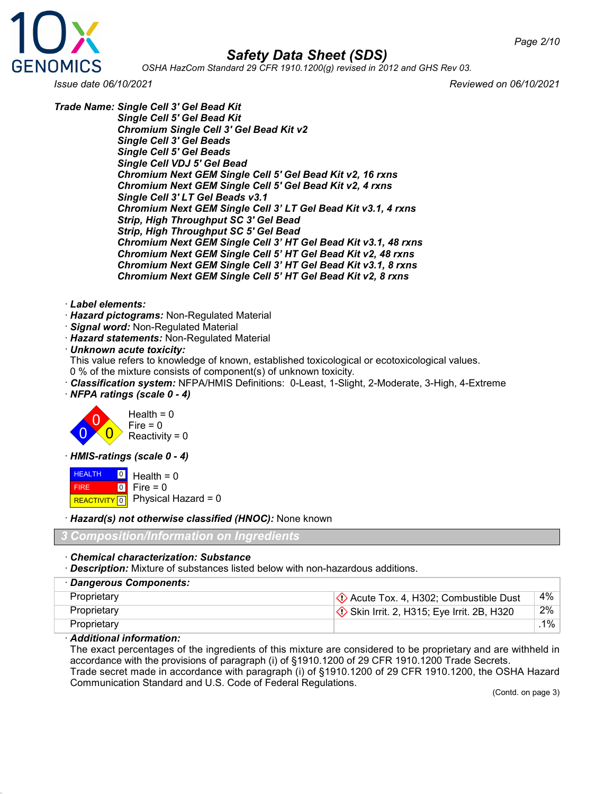

*OSHA HazCom Standard 29 CFR 1910.1200(g) revised in 2012 and GHS Rev 03.*

*Issue date 06/10/2021 Reviewed on 06/10/2021*

*Trade Name: Single Cell 3' Gel Bead Kit*

*Single Cell 5' Gel Bead Kit Chromium Single Cell 3' Gel Bead Kit v2 Single Cell 3' Gel Beads Single Cell 5' Gel Beads Single Cell VDJ 5' Gel Bead Chromium Next GEM Single Cell 5' Gel Bead Kit v2, 16 rxns Chromium Next GEM Single Cell 5' Gel Bead Kit v2, 4 rxns Single Cell 3' LT Gel Beads v3.1 Chromium Next GEM Single Cell 3' LT Gel Bead Kit v3.1, 4 rxns Strip, High Throughput SC 3' Gel Bead Strip, High Throughput SC 5' Gel Bead Chromium Next GEM Single Cell 3' HT Gel Bead Kit v3.1, 48 rxns Chromium Next GEM Single Cell 5' HT Gel Bead Kit v2, 48 rxns Chromium Next GEM Single Cell 3' HT Gel Bead Kit v3.1, 8 rxns Chromium Next GEM Single Cell 5' HT Gel Bead Kit v2, 8 rxns*

- · *Label elements:*
- · *Hazard pictograms:* Non-Regulated Material
- · *Signal word:* Non-Regulated Material
- · *Hazard statements:* Non-Regulated Material

· *Unknown acute toxicity:*

- This value refers to knowledge of known, established toxicological or ecotoxicological values.
- 0 % of the mixture consists of component(s) of unknown toxicity.
- · *Classification system:* NFPA/HMIS Definitions: 0-Least, 1-Slight, 2-Moderate, 3-High, 4-Extreme

· *NFPA ratings (scale 0 - 4)*



· *HMIS-ratings (scale 0 - 4)*

**HEALTH**  FIRE  $R$ **REACTIVITY**  $\boxed{0}$  Physical Hazard = 0  $\overline{0}$  $\overline{0}$  $Health = 0$ Fire  $= 0$ 

· *Hazard(s) not otherwise classified (HNOC):* None known

*3 Composition/Information on Ingredients*

#### · *Chemical characterization: Substance*

· *Description:* Mixture of substances listed below with non-hazardous additions.

| · Dangerous Components: |                                                                     |       |
|-------------------------|---------------------------------------------------------------------|-------|
| Proprietary             | $\langle \cdot \rangle$ Acute Tox. 4, H302; Combustible Dust        | 4%    |
| Proprietary             | $\langle \diamond \rangle$ Skin Irrit. 2, H315; Eye Irrit. 2B, H320 | 2%    |
| Proprietary             |                                                                     | $1\%$ |

#### · *Additional information:*

The exact percentages of the ingredients of this mixture are considered to be proprietary and are withheld in accordance with the provisions of paragraph (i) of §1910.1200 of 29 CFR 1910.1200 Trade Secrets. Trade secret made in accordance with paragraph (i) of §1910.1200 of 29 CFR 1910.1200, the OSHA Hazard Communication Standard and U.S. Code of Federal Regulations.

(Contd. on page 3)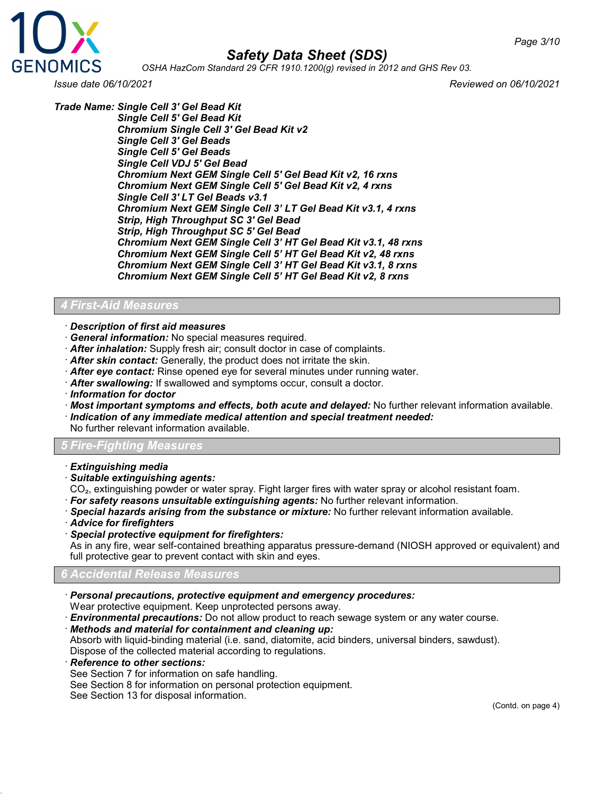

*OSHA HazCom Standard 29 CFR 1910.1200(g) revised in 2012 and GHS Rev 03.*

*Trade Name: Single Cell 3' Gel Bead Kit*

*Issue date 06/10/2021 Reviewed on 06/10/2021*

*Single Cell 5' Gel Bead Kit Chromium Single Cell 3' Gel Bead Kit v2 Single Cell 3' Gel Beads Single Cell 5' Gel Beads Single Cell VDJ 5' Gel Bead Chromium Next GEM Single Cell 5' Gel Bead Kit v2, 16 rxns Chromium Next GEM Single Cell 5' Gel Bead Kit v2, 4 rxns Single Cell 3' LT Gel Beads v3.1 Chromium Next GEM Single Cell 3' LT Gel Bead Kit v3.1, 4 rxns Strip, High Throughput SC 3' Gel Bead Strip, High Throughput SC 5' Gel Bead Chromium Next GEM Single Cell 3' HT Gel Bead Kit v3.1, 48 rxns Chromium Next GEM Single Cell 5' HT Gel Bead Kit v2, 48 rxns Chromium Next GEM Single Cell 3' HT Gel Bead Kit v3.1, 8 rxns Chromium Next GEM Single Cell 5' HT Gel Bead Kit v2, 8 rxns*

#### *4 First-Aid Measures*

- · *Description of first aid measures*
- · *General information:* No special measures required.
- · *After inhalation:* Supply fresh air; consult doctor in case of complaints.
- · *After skin contact:* Generally, the product does not irritate the skin.
- · *After eye contact:* Rinse opened eye for several minutes under running water.
- · *After swallowing:* If swallowed and symptoms occur, consult a doctor.
- · *Information for doctor*
- · *Most important symptoms and effects, both acute and delayed:* No further relevant information available.
- · *Indication of any immediate medical attention and special treatment needed:*

No further relevant information available.

#### *5 Fire-Fighting Measures*

- · *Extinguishing media*
- · *Suitable extinguishing agents:*
- CO₂, extinguishing powder or water spray. Fight larger fires with water spray or alcohol resistant foam.
- · *For safety reasons unsuitable extinguishing agents:* No further relevant information.
- · *Special hazards arising from the substance or mixture:* No further relevant information available.
- · *Advice for firefighters*
- · *Special protective equipment for firefighters:*

As in any fire, wear self-contained breathing apparatus pressure-demand (NIOSH approved or equivalent) and full protective gear to prevent contact with skin and eyes.

#### *6 Accidental Release Measures*

- · *Personal precautions, protective equipment and emergency procedures:*
- Wear protective equipment. Keep unprotected persons away.
- · *Environmental precautions:* Do not allow product to reach sewage system or any water course.
- · *Methods and material for containment and cleaning up:*
- Absorb with liquid-binding material (i.e. sand, diatomite, acid binders, universal binders, sawdust). Dispose of the collected material according to regulations.
- · *Reference to other sections:*
- See Section 7 for information on safe handling.
- See Section 8 for information on personal protection equipment.

See Section 13 for disposal information.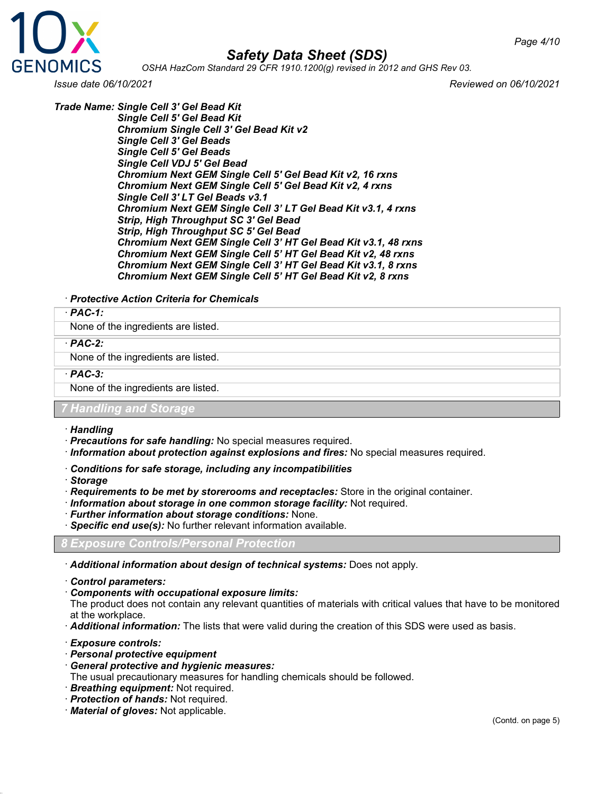

*OSHA HazCom Standard 29 CFR 1910.1200(g) revised in 2012 and GHS Rev 03.*

*Issue date 06/10/2021 Reviewed on 06/10/2021*

*Trade Name: Single Cell 3' Gel Bead Kit*

*Single Cell 5' Gel Bead Kit Chromium Single Cell 3' Gel Bead Kit v2 Single Cell 3' Gel Beads Single Cell 5' Gel Beads Single Cell VDJ 5' Gel Bead Chromium Next GEM Single Cell 5' Gel Bead Kit v2, 16 rxns Chromium Next GEM Single Cell 5' Gel Bead Kit v2, 4 rxns Single Cell 3' LT Gel Beads v3.1 Chromium Next GEM Single Cell 3' LT Gel Bead Kit v3.1, 4 rxns Strip, High Throughput SC 3' Gel Bead*

*Strip, High Throughput SC 5' Gel Bead Chromium Next GEM Single Cell 3' HT Gel Bead Kit v3.1, 48 rxns Chromium Next GEM Single Cell 5' HT Gel Bead Kit v2, 48 rxns Chromium Next GEM Single Cell 3' HT Gel Bead Kit v3.1, 8 rxns Chromium Next GEM Single Cell 5' HT Gel Bead Kit v2, 8 rxns*

#### · *Protective Action Criteria for Chemicals*

#### · *PAC-1:*

None of the ingredients are listed.

#### · *PAC-2:*

None of the ingredients are listed.

#### · *PAC-3:*

None of the ingredients are listed.

#### *7 Handling and Storage*

#### · *Handling*

- · *Precautions for safe handling:* No special measures required.
- · *Information about protection against explosions and fires:* No special measures required.
- · *Conditions for safe storage, including any incompatibilities*
- · *Storage*
- · *Requirements to be met by storerooms and receptacles:* Store in the original container.
- · *Information about storage in one common storage facility:* Not required.
- · *Further information about storage conditions:* None.
- · *Specific end use(s):* No further relevant information available.

#### *8 Exposure Controls/Personal Protection*

- · *Additional information about design of technical systems:* Does not apply.
- · *Control parameters:*
- · *Components with occupational exposure limits:*

The product does not contain any relevant quantities of materials with critical values that have to be monitored at the workplace.

· *Additional information:* The lists that were valid during the creation of this SDS were used as basis.

- · *Exposure controls:*
- · *Personal protective equipment*
- · *General protective and hygienic measures:*
- The usual precautionary measures for handling chemicals should be followed.
- · *Breathing equipment:* Not required.
- · *Protection of hands:* Not required.
- · *Material of gloves:* Not applicable.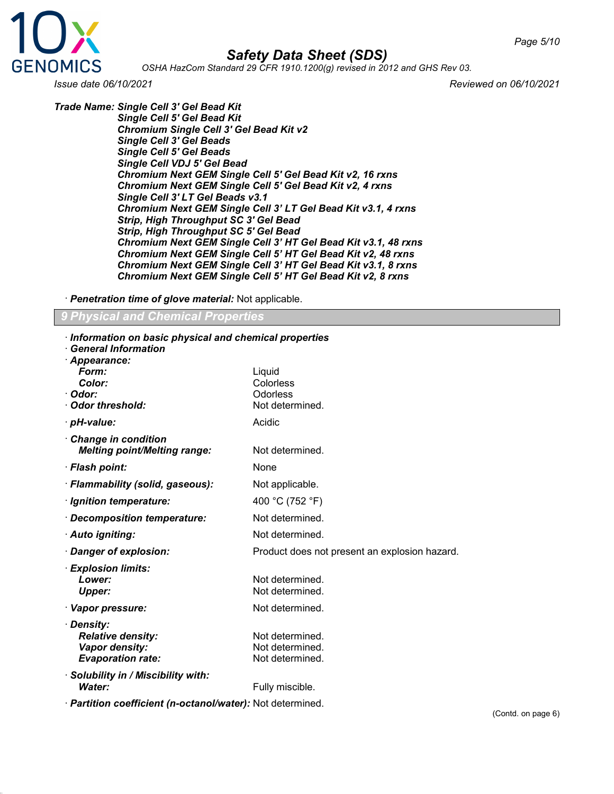

*OSHA HazCom Standard 29 CFR 1910.1200(g) revised in 2012 and GHS Rev 03.*

*Trade Name: Single Cell 3' Gel Bead Kit*

*Issue date 06/10/2021 Reviewed on 06/10/2021*

*Single Cell 5' Gel Bead Kit Chromium Single Cell 3' Gel Bead Kit v2 Single Cell 3' Gel Beads Single Cell 5' Gel Beads Single Cell VDJ 5' Gel Bead Chromium Next GEM Single Cell 5' Gel Bead Kit v2, 16 rxns Chromium Next GEM Single Cell 5' Gel Bead Kit v2, 4 rxns Single Cell 3' LT Gel Beads v3.1 Chromium Next GEM Single Cell 3' LT Gel Bead Kit v3.1, 4 rxns Strip, High Throughput SC 3' Gel Bead Strip, High Throughput SC 5' Gel Bead Chromium Next GEM Single Cell 3' HT Gel Bead Kit v3.1, 48 rxns Chromium Next GEM Single Cell 5' HT Gel Bead Kit v2, 48 rxns Chromium Next GEM Single Cell 3' HT Gel Bead Kit v3.1, 8 rxns Chromium Next GEM Single Cell 5' HT Gel Bead Kit v2, 8 rxns*

· *Penetration time of glove material:* Not applicable.

#### *9 Physical and Chemical Properties*

| Information on basic physical and chemical properties<br><b>General Information</b>                       |                                                       |
|-----------------------------------------------------------------------------------------------------------|-------------------------------------------------------|
| · Appearance:<br>Form:<br>Color:<br>· Odor:<br>Odor threshold:                                            | Liquid<br>Colorless<br>Odorless<br>Not determined.    |
| · pH-value:                                                                                               | Acidic                                                |
| <b>Change in condition</b><br><b>Melting point/Melting range:</b>                                         | Not determined.                                       |
| · Flash point:                                                                                            | None                                                  |
| · Flammability (solid, gaseous):                                                                          | Not applicable.                                       |
| · Ignition temperature:                                                                                   | 400 °C (752 °F)                                       |
| · Decomposition temperature:                                                                              | Not determined.                                       |
| · Auto igniting:                                                                                          | Not determined.                                       |
| · Danger of explosion:                                                                                    | Product does not present an explosion hazard.         |
| · Explosion limits:<br>Lower:<br><b>Upper:</b>                                                            | Not determined.<br>Not determined.                    |
| · Vapor pressure:                                                                                         | Not determined.                                       |
| · Density:<br><b>Relative density:</b><br>Vapor density:<br><b>Evaporation rate:</b>                      | Not determined.<br>Not determined.<br>Not determined. |
| · Solubility in / Miscibility with:<br>Water:<br>Deutitian anafficiant (n patenglissatau): Net determined | Fully miscible.                                       |

· *Partition coefficient (n-octanol/water):* Not determined.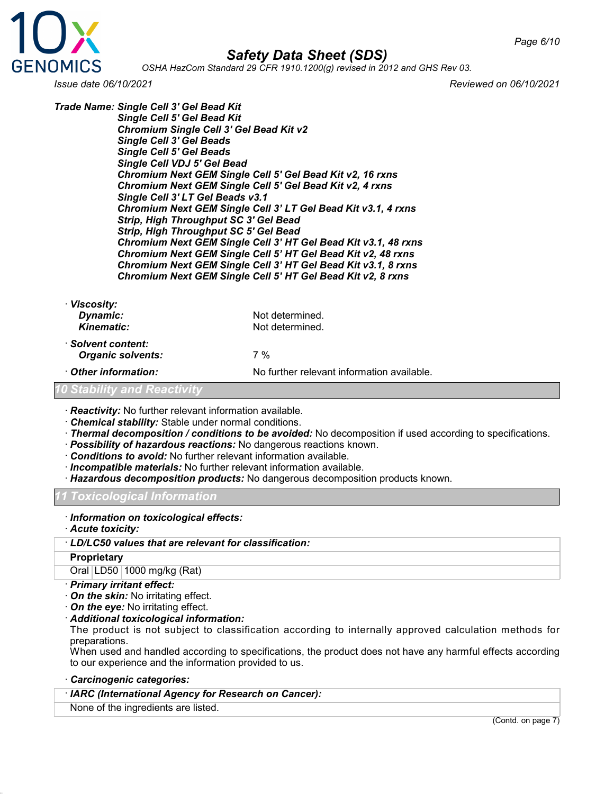

*OSHA HazCom Standard 29 CFR 1910.1200(g) revised in 2012 and GHS Rev 03.*

*Issue date 06/10/2021 Reviewed on 06/10/2021*

*Trade Name: Single Cell 3' Gel Bead Kit Single Cell 5' Gel Bead Kit Chromium Single Cell 3' Gel Bead Kit v2 Single Cell 3' Gel Beads Single Cell 5' Gel Beads Single Cell VDJ 5' Gel Bead Chromium Next GEM Single Cell 5' Gel Bead Kit v2, 16 rxns Chromium Next GEM Single Cell 5' Gel Bead Kit v2, 4 rxns Single Cell 3' LT Gel Beads v3.1 Chromium Next GEM Single Cell 3' LT Gel Bead Kit v3.1, 4 rxns Strip, High Throughput SC 3' Gel Bead Strip, High Throughput SC 5' Gel Bead Chromium Next GEM Single Cell 3' HT Gel Bead Kit v3.1, 48 rxns Chromium Next GEM Single Cell 5' HT Gel Bead Kit v2, 48 rxns Chromium Next GEM Single Cell 3' HT Gel Bead Kit v3.1, 8 rxns Chromium Next GEM Single Cell 5' HT Gel Bead Kit v2, 8 rxns*

| <b>Viscosity:</b>                              |                                            |
|------------------------------------------------|--------------------------------------------|
| Dynamic:                                       | Not determined.                            |
| Kinematic:                                     | Not determined.                            |
| · Solvent content:<br><b>Organic solvents:</b> | 7 %                                        |
| Other information:                             | No further relevant information available. |
| <b>10 Stability and Reactivity</b>             |                                            |
|                                                |                                            |

· *Reactivity:* No further relevant information available.

- · *Chemical stability:* Stable under normal conditions.
- · *Thermal decomposition / conditions to be avoided:* No decomposition if used according to specifications.
- · *Possibility of hazardous reactions:* No dangerous reactions known.
- · *Conditions to avoid:* No further relevant information available.
- · *Incompatible materials:* No further relevant information available.
- · *Hazardous decomposition products:* No dangerous decomposition products known.

#### *11 Toxicological Information*

- · *Information on toxicological effects:*
- · *Acute toxicity:*

#### · *LD/LC50 values that are relevant for classification:*

#### **Proprietary**

Oral LD50 1000 mg/kg (Rat)

- · *Primary irritant effect:*
- · *On the skin:* No irritating effect.
- · *On the eye:* No irritating effect.
- · *Additional toxicological information:*

The product is not subject to classification according to internally approved calculation methods for preparations.

When used and handled according to specifications, the product does not have any harmful effects according to our experience and the information provided to us.

#### · *Carcinogenic categories:*

#### · *IARC (International Agency for Research on Cancer):*

None of the ingredients are listed.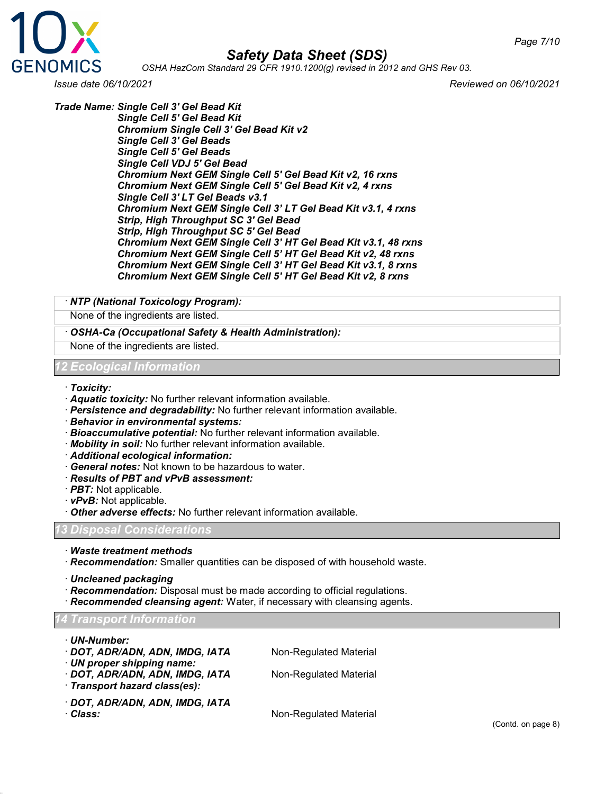

*OSHA HazCom Standard 29 CFR 1910.1200(g) revised in 2012 and GHS Rev 03.*

*Issue date 06/10/2021 Reviewed on 06/10/2021*

*Trade Name: Single Cell 3' Gel Bead Kit*

*Single Cell 5' Gel Bead Kit Chromium Single Cell 3' Gel Bead Kit v2 Single Cell 3' Gel Beads Single Cell 5' Gel Beads Single Cell VDJ 5' Gel Bead Chromium Next GEM Single Cell 5' Gel Bead Kit v2, 16 rxns Chromium Next GEM Single Cell 5' Gel Bead Kit v2, 4 rxns Single Cell 3' LT Gel Beads v3.1 Chromium Next GEM Single Cell 3' LT Gel Bead Kit v3.1, 4 rxns Strip, High Throughput SC 3' Gel Bead Strip, High Throughput SC 5' Gel Bead Chromium Next GEM Single Cell 3' HT Gel Bead Kit v3.1, 48 rxns Chromium Next GEM Single Cell 5' HT Gel Bead Kit v2, 48 rxns Chromium Next GEM Single Cell 3' HT Gel Bead Kit v3.1, 8 rxns Chromium Next GEM Single Cell 5' HT Gel Bead Kit v2, 8 rxns*

#### · *NTP (National Toxicology Program):*

None of the ingredients are listed.

- · *OSHA-Ca (Occupational Safety & Health Administration):*
- None of the ingredients are listed.

#### *12 Ecological Information*

- · *Toxicity:*
- · *Aquatic toxicity:* No further relevant information available.
- · *Persistence and degradability:* No further relevant information available.
- · *Behavior in environmental systems:*
- · *Bioaccumulative potential:* No further relevant information available.
- · *Mobility in soil:* No further relevant information available.
- · *Additional ecological information:*
- · *General notes:* Not known to be hazardous to water.
- · *Results of PBT and vPvB assessment:*
- · *PBT:* Not applicable.
- · *vPvB:* Not applicable.
- · *Other adverse effects:* No further relevant information available.

#### *13 Disposal Considerations*

- · *Waste treatment methods*
- · *Recommendation:* Smaller quantities can be disposed of with household waste.
- · *Uncleaned packaging*
- · *Recommendation:* Disposal must be made according to official regulations.
- · *Recommended cleansing agent:* Water, if necessary with cleansing agents.

#### *14 Transport Information*

- · *UN-Number:*
- · **DOT, ADR/ADN, ADN, IMDG, IATA** Non-Regulated Material
- · *UN proper shipping name:*
- · **DOT, ADR/ADN, ADN, IMDG, IATA** Non-Regulated Material
- · *Transport hazard class(es):*
- · *DOT, ADR/ADN, ADN, IMDG, IATA*

· **Class:** Non-Regulated Material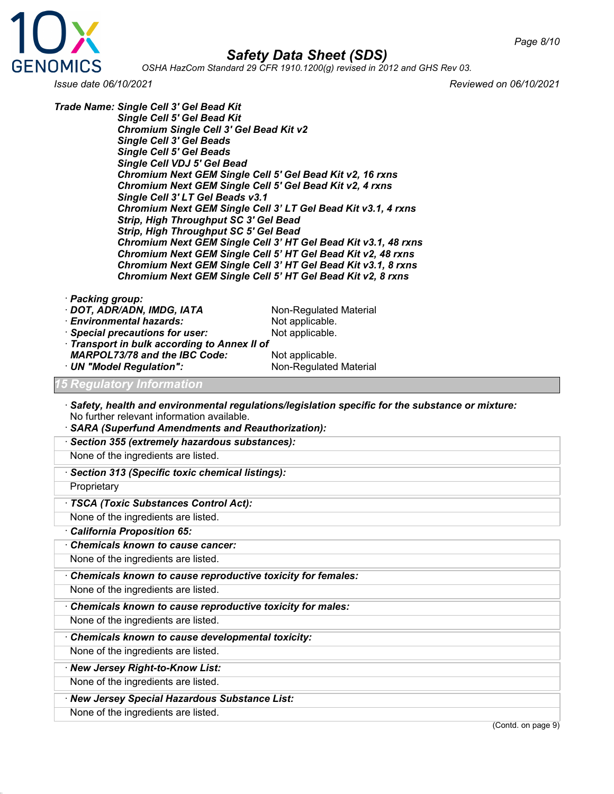

*OSHA HazCom Standard 29 CFR 1910.1200(g) revised in 2012 and GHS Rev 03.*

*Issue date 06/10/2021 Reviewed on 06/10/2021*

*Trade Name: Single Cell 3' Gel Bead Kit Single Cell 5' Gel Bead Kit Chromium Single Cell 3' Gel Bead Kit v2 Single Cell 3' Gel Beads Single Cell 5' Gel Beads Single Cell VDJ 5' Gel Bead Chromium Next GEM Single Cell 5' Gel Bead Kit v2, 16 rxns Chromium Next GEM Single Cell 5' Gel Bead Kit v2, 4 rxns Single Cell 3' LT Gel Beads v3.1 Chromium Next GEM Single Cell 3' LT Gel Bead Kit v3.1, 4 rxns Strip, High Throughput SC 3' Gel Bead Strip, High Throughput SC 5' Gel Bead Chromium Next GEM Single Cell 3' HT Gel Bead Kit v3.1, 48 rxns Chromium Next GEM Single Cell 5' HT Gel Bead Kit v2, 48 rxns Chromium Next GEM Single Cell 3' HT Gel Bead Kit v3.1, 8 rxns Chromium Next GEM Single Cell 5' HT Gel Bead Kit v2, 8 rxns*

- · *Packing group:*
- · *DOT, ADR/ADN, IMDG, IATA* Non-Regulated Material<br>· *Environmental hazards:* Not applicable.
- 
- *· Environmental hazards:* Not applicable.<br>*· Special precautions for user:* Not applicable. · Special precautions for user:
- · *Transport in bulk according to Annex II of MARPOL73/78 and the IBC Code:* Not applicable.<br> **UN "Model Requiation":** Non-Requiated Material
- · UN "Model Regulation":

#### *15 Regulatory Information*

- · *Safety, health and environmental regulations/legislation specific for the substance or mixture:* No further relevant information available.
- · *SARA (Superfund Amendments and Reauthorization):*
- · *Section 355 (extremely hazardous substances):*

None of the ingredients are listed.

· *Section 313 (Specific toxic chemical listings):*

**Proprietary** 

#### · *TSCA (Toxic Substances Control Act):*

None of the ingredients are listed.

#### · *California Proposition 65:*

· *Chemicals known to cause cancer:*

None of the ingredients are listed.

· *Chemicals known to cause reproductive toxicity for females:*

None of the ingredients are listed.

· *Chemicals known to cause reproductive toxicity for males:*

None of the ingredients are listed.

· *Chemicals known to cause developmental toxicity:*

None of the ingredients are listed.

· *New Jersey Right-to-Know List:*

None of the ingredients are listed.

· *New Jersey Special Hazardous Substance List:*

None of the ingredients are listed.

(Contd. on page 9)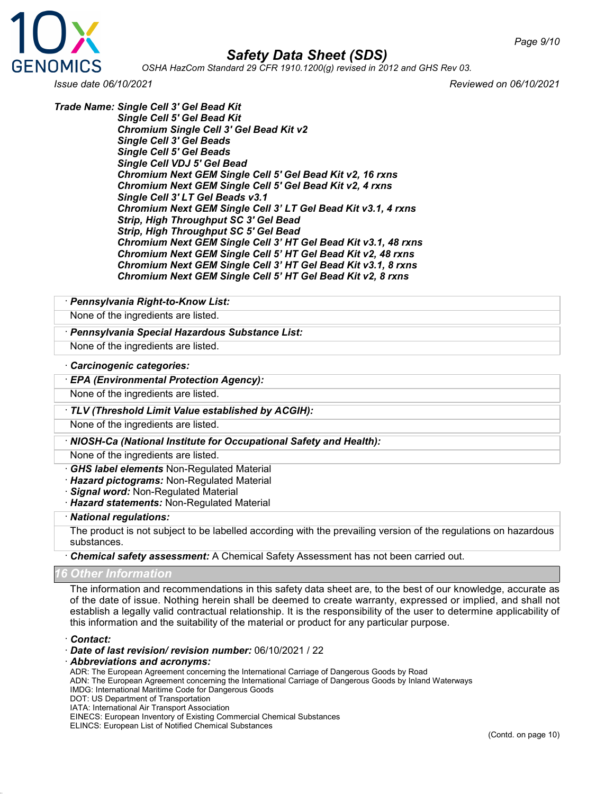

*OSHA HazCom Standard 29 CFR 1910.1200(g) revised in 2012 and GHS Rev 03.*

*Issue date 06/10/2021 Reviewed on 06/10/2021*

*Trade Name: Single Cell 3' Gel Bead Kit*

*Single Cell 5' Gel Bead Kit Chromium Single Cell 3' Gel Bead Kit v2 Single Cell 3' Gel Beads Single Cell 5' Gel Beads Single Cell VDJ 5' Gel Bead Chromium Next GEM Single Cell 5' Gel Bead Kit v2, 16 rxns Chromium Next GEM Single Cell 5' Gel Bead Kit v2, 4 rxns Single Cell 3' LT Gel Beads v3.1 Chromium Next GEM Single Cell 3' LT Gel Bead Kit v3.1, 4 rxns Strip, High Throughput SC 3' Gel Bead Strip, High Throughput SC 5' Gel Bead Chromium Next GEM Single Cell 3' HT Gel Bead Kit v3.1, 48 rxns Chromium Next GEM Single Cell 5' HT Gel Bead Kit v2, 48 rxns Chromium Next GEM Single Cell 3' HT Gel Bead Kit v3.1, 8 rxns Chromium Next GEM Single Cell 5' HT Gel Bead Kit v2, 8 rxns*

#### · *Pennsylvania Right-to-Know List:*

None of the ingredients are listed.

#### · *Pennsylvania Special Hazardous Substance List:*

None of the ingredients are listed.

#### · *Carcinogenic categories:*

#### · *EPA (Environmental Protection Agency):*

None of the ingredients are listed.

#### · *TLV (Threshold Limit Value established by ACGIH):*

None of the ingredients are listed.

#### · *NIOSH-Ca (National Institute for Occupational Safety and Health):*

None of the ingredients are listed.

- · *GHS label elements* Non-Regulated Material
- · *Hazard pictograms:* Non-Regulated Material
- · *Signal word:* Non-Regulated Material
- · *Hazard statements:* Non-Regulated Material

#### · *National regulations:*

The product is not subject to be labelled according with the prevailing version of the regulations on hazardous substances.

#### · *Chemical safety assessment:* A Chemical Safety Assessment has not been carried out.

#### *16 Other Information*

The information and recommendations in this safety data sheet are, to the best of our knowledge, accurate as of the date of issue. Nothing herein shall be deemed to create warranty, expressed or implied, and shall not establish a legally valid contractual relationship. It is the responsibility of the user to determine applicability of this information and the suitability of the material or product for any particular purpose.

#### · *Contact:*

- · *Date of last revision/ revision number:* 06/10/2021 / 22
- · *Abbreviations and acronyms:*

ADR: The European Agreement concerning the International Carriage of Dangerous Goods by Road

- ADN: The European Agreement concerning the International Carriage of Dangerous Goods by Inland Waterways
- IMDG: International Maritime Code for Dangerous Goods
- DOT: US Department of Transportation
- IATA: International Air Transport Association

EINECS: European Inventory of Existing Commercial Chemical Substances

ELINCS: European List of Notified Chemical Substances